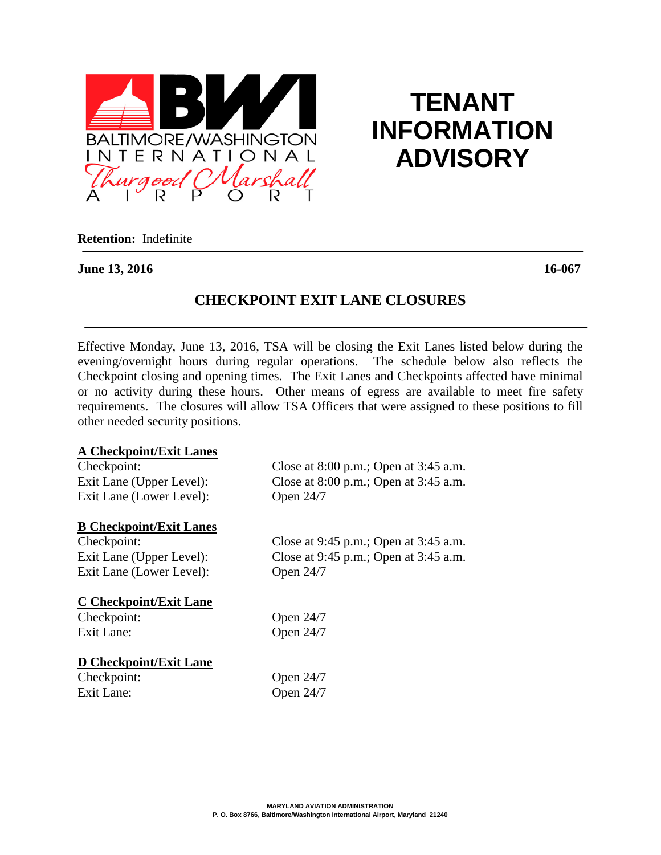

# **TENANT INFORMATION ADVISORY**

**Retention:** Indefinite

#### **June 13, 2016 16-067**

## **CHECKPOINT EXIT LANE CLOSURES**

Effective Monday, June 13, 2016, TSA will be closing the Exit Lanes listed below during the evening/overnight hours during regular operations. The schedule below also reflects the Checkpoint closing and opening times. The Exit Lanes and Checkpoints affected have minimal or no activity during these hours. Other means of egress are available to meet fire safety requirements. The closures will allow TSA Officers that were assigned to these positions to fill other needed security positions.

#### **A Checkpoint/Exit Lanes**

| Checkpoint:                    | Close at $8:00$ p.m.; Open at $3:45$ a.m. |
|--------------------------------|-------------------------------------------|
| Exit Lane (Upper Level):       | Close at $8:00$ p.m.; Open at $3:45$ a.m. |
| Exit Lane (Lower Level):       | Open 24/7                                 |
| <b>B</b> Checkpoint/Exit Lanes |                                           |
| Checkpoint:                    | Close at $9:45$ p.m.; Open at $3:45$ a.m. |
| Exit Lane (Upper Level):       | Close at $9:45$ p.m.; Open at $3:45$ a.m. |
| Exit Lane (Lower Level):       | Open 24/7                                 |
| <b>C</b> Checkpoint/Exit Lane  |                                           |
| Checkpoint:                    | Open $24/7$                               |
| Exit Lane:                     | Open 24/7                                 |
| D Checkpoint/Exit Lane         |                                           |
| Checkpoint:                    | Open 24/7                                 |
| Exit Lane:                     | Open 24/7                                 |